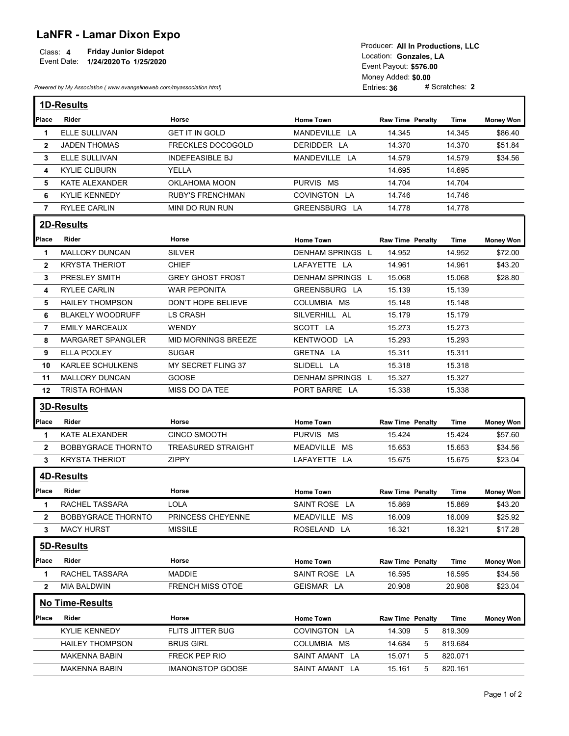## LaNFR - Lamar Dixon Expo

| Class: 4<br>Friday Junior Sidepot<br>Event Date:<br>1/24/2020 To 1/25/2020 | Producer: All In Productions, LLC<br>Location: Gonzales. LA<br>Event Payout: \$576.00 |
|----------------------------------------------------------------------------|---------------------------------------------------------------------------------------|
|                                                                            | Money Added: \$0.00                                                                   |
| Powered by My Association (www.evangelineweb.com/myassociation.html)       | # Scratches: 2<br>Entries: $36$                                                       |

| <b>LaNFR - Lamar Dixon Expo</b><br><b>Friday Junior Sidepot</b><br>Class: 4<br>Event Date: 1/24/2020 To 1/25/2020<br>Powered by My Association (www.evangelineweb.com/myassociation.html) |                                                   |                                     | Producer: All In Productions, LLC<br>Location: Gonzales, LA<br>Event Payout: \$576.00<br>Money Added: \$0.00<br># Scratches: 2<br>Entries: 36 |                         |                  |                    |  |
|-------------------------------------------------------------------------------------------------------------------------------------------------------------------------------------------|---------------------------------------------------|-------------------------------------|-----------------------------------------------------------------------------------------------------------------------------------------------|-------------------------|------------------|--------------------|--|
|                                                                                                                                                                                           | <b>1D-Results</b>                                 |                                     |                                                                                                                                               |                         |                  |                    |  |
| <b>Place</b>                                                                                                                                                                              | Rider                                             | Horse                               | <b>Home Town</b>                                                                                                                              | <b>Raw Time Penalty</b> | Time             | <b>Money Won</b>   |  |
| -1                                                                                                                                                                                        | <b>ELLE SULLIVAN</b>                              | <b>GET IT IN GOLD</b>               | MANDEVILLE LA                                                                                                                                 | 14.345                  | 14.345           | \$86.40            |  |
| $\mathbf{2}$                                                                                                                                                                              | <b>JADEN THOMAS</b>                               | <b>FRECKLES DOCOGOLD</b>            | DERIDDER LA                                                                                                                                   | 14.370                  | 14.370           | \$51.84            |  |
| 3                                                                                                                                                                                         | ELLE SULLIVAN                                     | <b>INDEFEASIBLE BJ</b>              | MANDEVILLE LA                                                                                                                                 | 14.579                  | 14.579           | \$34.56            |  |
| 4                                                                                                                                                                                         | <b>KYLIE CLIBURN</b>                              | YELLA                               |                                                                                                                                               | 14.695                  | 14.695           |                    |  |
| 5                                                                                                                                                                                         | KATE ALEXANDER                                    | OKLAHOMA MOON                       | PURVIS MS                                                                                                                                     | 14.704                  | 14.704           |                    |  |
| 6                                                                                                                                                                                         | <b>KYLIE KENNEDY</b>                              | <b>RUBY'S FRENCHMAN</b>             | COVINGTON LA                                                                                                                                  | 14.746                  | 14.746           |                    |  |
| $\overline{7}$                                                                                                                                                                            | <b>RYLEE CARLIN</b>                               | MINI DO RUN RUN                     | GREENSBURG LA                                                                                                                                 | 14.778                  | 14.778           |                    |  |
|                                                                                                                                                                                           | 2D-Results                                        |                                     |                                                                                                                                               |                         |                  |                    |  |
| Place                                                                                                                                                                                     | Rider                                             | Horse                               |                                                                                                                                               |                         |                  |                    |  |
|                                                                                                                                                                                           | <b>MALLORY DUNCAN</b>                             | <b>SILVER</b>                       | <b>Home Town</b><br>DENHAM SPRINGS L                                                                                                          | <b>Raw Time Penalty</b> | <b>Time</b>      | <b>Money Won</b>   |  |
| -1                                                                                                                                                                                        | <b>KRYSTA THERIOT</b>                             | <b>CHIEF</b>                        | LAFAYETTE LA                                                                                                                                  | 14.952<br>14.961        | 14.952<br>14.961 | \$72.00<br>\$43.20 |  |
| $\mathbf{2}$                                                                                                                                                                              | <b>PRESLEY SMITH</b>                              | <b>GREY GHOST FROST</b>             | DENHAM SPRINGS L                                                                                                                              | 15.068                  | 15.068           | \$28.80            |  |
| 3                                                                                                                                                                                         |                                                   |                                     |                                                                                                                                               |                         |                  |                    |  |
| 4                                                                                                                                                                                         | RYLEE CARLIN                                      | WAR PEPONITA                        | GREENSBURG LA                                                                                                                                 | 15.139                  | 15.139           |                    |  |
| 5                                                                                                                                                                                         | <b>HAILEY THOMPSON</b>                            | DON'T HOPE BELIEVE                  | COLUMBIA MS                                                                                                                                   | 15.148                  | 15.148           |                    |  |
| 6                                                                                                                                                                                         | <b>BLAKELY WOODRUFF</b>                           | <b>LS CRASH</b>                     | SILVERHILL AL                                                                                                                                 | 15.179                  | 15.179           |                    |  |
| 7                                                                                                                                                                                         | <b>EMILY MARCEAUX</b><br><b>MARGARET SPANGLER</b> | <b>WENDY</b><br>MID MORNINGS BREEZE | SCOTT LA                                                                                                                                      | 15.273                  | 15.273           |                    |  |
| 8                                                                                                                                                                                         |                                                   |                                     | KENTWOOD LA                                                                                                                                   | 15.293                  | 15.293           |                    |  |
| 9                                                                                                                                                                                         | ELLA POOLEY                                       | <b>SUGAR</b>                        | GRETNA LA                                                                                                                                     | 15.311                  | 15.311           |                    |  |
| 10                                                                                                                                                                                        | KARLEE SCHULKENS                                  | MY SECRET FLING 37                  | SLIDELL LA                                                                                                                                    | 15.318                  | 15.318           |                    |  |
| 11                                                                                                                                                                                        | MALLORY DUNCAN                                    | GOOSE                               | DENHAM SPRINGS L                                                                                                                              | 15.327                  | 15.327           |                    |  |
|                                                                                                                                                                                           | 12 TRISTA ROHMAN                                  | MISS DO DA TEE                      | PORT BARRE LA                                                                                                                                 | 15.338                  | 15.338           |                    |  |
|                                                                                                                                                                                           | 3D-Results                                        |                                     |                                                                                                                                               |                         |                  |                    |  |
| Place                                                                                                                                                                                     | Rider                                             | Horse                               | Home Town                                                                                                                                     | <b>Raw Time Penalty</b> | Time             | <b>Money Won</b>   |  |
| -1                                                                                                                                                                                        | KATE ALEXANDER                                    | <b>CINCO SMOOTH</b>                 | PURVIS MS                                                                                                                                     | 15.424                  | 15.424           | \$57.60            |  |
| $\mathbf{2}$                                                                                                                                                                              | BOBBYGRACE THORNTO                                | <b>TREASURED STRAIGHT</b>           | MEADVILLE MS                                                                                                                                  | 15.653                  | 15.653           | \$34.56            |  |
| 3                                                                                                                                                                                         | <b>KRYSTA THERIOT</b>                             | ZIPPY                               | LAFAYETTE LA                                                                                                                                  | 15.675                  | 15.675           | \$23.04            |  |
|                                                                                                                                                                                           | 4D-Results                                        |                                     |                                                                                                                                               |                         |                  |                    |  |
| Place                                                                                                                                                                                     | Rider                                             | Horse                               |                                                                                                                                               |                         |                  |                    |  |
|                                                                                                                                                                                           | RACHEL TASSARA                                    |                                     | Home Town                                                                                                                                     | <b>Raw Time Penalty</b> | <b>Time</b>      | <b>Money Won</b>   |  |
| -1                                                                                                                                                                                        |                                                   | LOLA                                | SAINT ROSE LA                                                                                                                                 | 15.869                  | 15.869           | \$43.20            |  |
| $\mathbf{2}$                                                                                                                                                                              | <b>BOBBYGRACE THORNTO</b>                         | PRINCESS CHEYENNE                   | MEADVILLE MS                                                                                                                                  | 16.009                  | 16.009           | \$25.92            |  |
| 3                                                                                                                                                                                         | <b>MACY HURST</b>                                 | <b>MISSILE</b>                      | ROSELAND LA                                                                                                                                   | 16.321                  | 16.321           | \$17.28            |  |
|                                                                                                                                                                                           | 5D-Results                                        |                                     |                                                                                                                                               |                         |                  |                    |  |
| Place                                                                                                                                                                                     | Rider                                             | Horse                               | Home Town                                                                                                                                     | Raw Time Penalty        | Time             | <b>Money Won</b>   |  |
| -1                                                                                                                                                                                        | RACHEL TASSARA                                    | <b>MADDIE</b>                       | SAINT ROSE LA                                                                                                                                 | 16.595                  | 16.595           | \$34.56            |  |
|                                                                                                                                                                                           | 2 MIA BALDWIN                                     | FRENCH MISS OTOE                    | GEISMAR LA                                                                                                                                    | 20.908                  | 20.908           | \$23.04            |  |
|                                                                                                                                                                                           | No Time-Results                                   |                                     |                                                                                                                                               |                         |                  |                    |  |
|                                                                                                                                                                                           |                                                   |                                     |                                                                                                                                               |                         |                  |                    |  |
| Place                                                                                                                                                                                     | Rider                                             | Horse                               | <b>Home Town</b>                                                                                                                              | Raw Time Penalty        | Time             | <b>Money Won</b>   |  |
|                                                                                                                                                                                           | KYLIE KENNEDY                                     | FLITS JITTER BUG                    | COVINGTON LA                                                                                                                                  | 14.309<br>$5^{\circ}$   | 819.309          |                    |  |
|                                                                                                                                                                                           | <b>HAILEY THOMPSON</b>                            | <b>BRUS GIRL</b>                    | COLUMBIA MS                                                                                                                                   | 14.684<br>5             | 819.684          |                    |  |
|                                                                                                                                                                                           | <b>MAKENNA BABIN</b>                              | FRECK PEP RIO                       | SAINT AMANT LA                                                                                                                                | 15.071<br>5             | 820.071          |                    |  |
|                                                                                                                                                                                           | <b>MAKENNA BABIN</b>                              | IMANONSTOP GOOSE                    | SAINT AMANT LA                                                                                                                                | 15.161<br>5             | 820.161          |                    |  |
|                                                                                                                                                                                           |                                                   |                                     |                                                                                                                                               |                         |                  |                    |  |